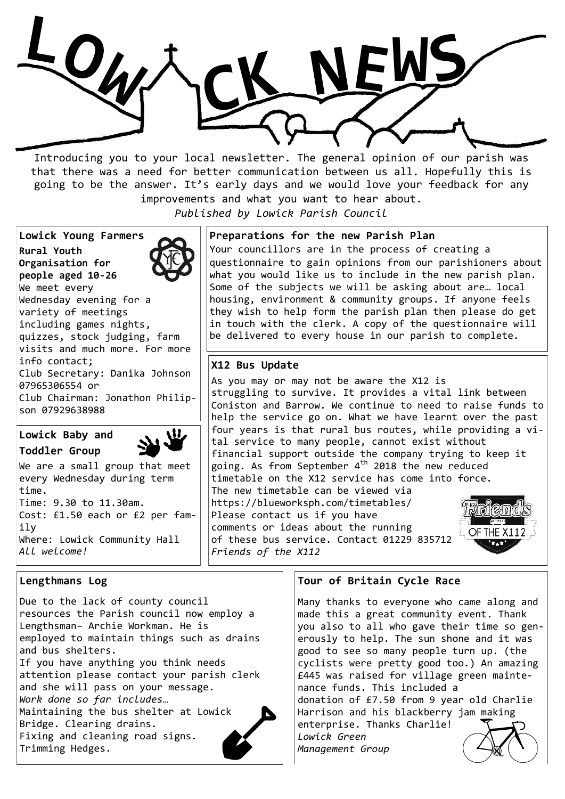

Introducing you to your local newsletter. The general opinion of our parish was that there was a need for better communication between us all. Hopefully this is going to be the answer. It's early days and we would love your feedback for any improvements and what you want to hear about.

*Published by Lowick Parish Council*

**Lowick Young Farmers Rural Youth Organisation for people aged 10-26** We meet every Wednesday evening for a variety of meetings including games nights, quizzes, stock judging, farm visits and much more. For more info contact; Club Secretary: Danika Johnson 07965306554 or Club Chairman: Jonathon Philipson 07929638988

# **Lowick Baby and Toddler Group**



We are a small group that meet every Wednesday during term time. Time: 9.30 to 11.30am. Cost: £1.50 each or £2 per family Where: Lowick Community Hall *All welcome!*

## **Lengthmans Log**

Due to the lack of county council resources the Parish council now employ a Lengthsman– Archie Workman. He is employed to maintain things such as drains and bus shelters. If you have anything you think needs attention please contact your parish clerk and she will pass on your message. *Work done so far includes…* Maintaining the bus shelter at Lowick Bridge. Clearing drains. Fixing and cleaning road signs. Trimming Hedges.

### **Preparations for the new Parish Plan**

Your councillors are in the process of creating a questionnaire to gain opinions from our parishioners about what you would like us to include in the new parish plan. Some of the subjects we will be asking about are… local housing, environment & community groups. If anyone feels they wish to help form the parish plan then please do get in touch with the clerk. A copy of the questionnaire will be delivered to every house in our parish to complete.

## **X12 Bus Update**

As you may or may not be aware the X12 is struggling to survive. It provides a vital link between Coniston and Barrow. We continue to need to raise funds to help the service go on. What we have learnt over the past four years is that rural bus routes, while providing a vital service to many people, cannot exist without financial support outside the company trying to keep it going. As from September  $4<sup>th</sup>$  2018 the new reduced timetable on the X12 service has come into force. The new timetable can be viewed via https://blueworksph.com/timetables/ Please contact us if you have

comments or ideas about the running of these bus service. Contact 01229 835712 *Friends of the X112*



#### **Tour of Britain Cycle Race**

Many thanks to everyone who came along and made this a great community event. Thank you also to all who gave their time so generously to help. The sun shone and it was good to see so many people turn up. (the cyclists were pretty good too.) An amazing £445 was raised for village green maintenance funds. This included a donation of £7.50 from 9 year old Charlie Harrison and his blackberry jam making enterprise. Thanks Charlie! *Lowick Green Management Group*